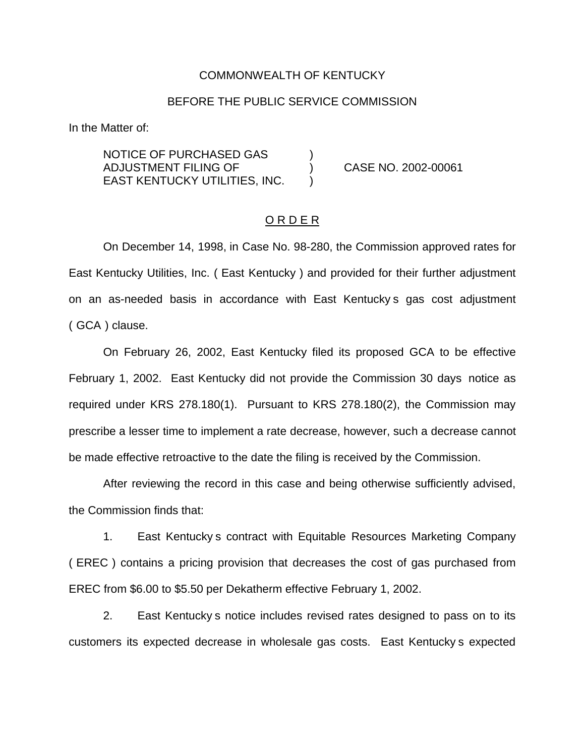#### COMMONWEALTH OF KENTUCKY

### BEFORE THE PUBLIC SERVICE COMMISSION

In the Matter of:

NOTICE OF PURCHASED GAS ) ADJUSTMENT FILING OF ) CASE NO. 2002-00061 EAST KENTUCKY UTILITIES, INC.

## O R D E R

On December 14, 1998, in Case No. 98-280, the Commission approved rates for East Kentucky Utilities, Inc. ( East Kentucky ) and provided for their further adjustment on an as-needed basis in accordance with East Kentucky s gas cost adjustment ( GCA ) clause.

On February 26, 2002, East Kentucky filed its proposed GCA to be effective February 1, 2002. East Kentucky did not provide the Commission 30 days notice as required under KRS 278.180(1). Pursuant to KRS 278.180(2), the Commission may prescribe a lesser time to implement a rate decrease, however, such a decrease cannot be made effective retroactive to the date the filing is received by the Commission.

After reviewing the record in this case and being otherwise sufficiently advised, the Commission finds that:

1. East Kentucky s contract with Equitable Resources Marketing Company ( EREC ) contains a pricing provision that decreases the cost of gas purchased from EREC from \$6.00 to \$5.50 per Dekatherm effective February 1, 2002.

2. East Kentucky s notice includes revised rates designed to pass on to its customers its expected decrease in wholesale gas costs. East Kentucky s expected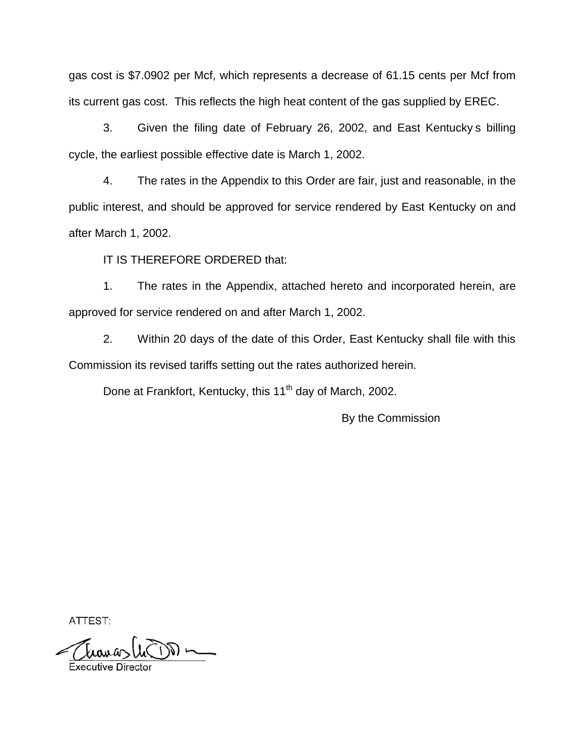gas cost is \$7.0902 per Mcf, which represents a decrease of 61.15 cents per Mcf from its current gas cost. This reflects the high heat content of the gas supplied by EREC.

3. Given the filing date of February 26, 2002, and East Kentucky s billing cycle, the earliest possible effective date is March 1, 2002.

4. The rates in the Appendix to this Order are fair, just and reasonable, in the public interest, and should be approved for service rendered by East Kentucky on and after March 1, 2002.

IT IS THEREFORE ORDERED that:

1. The rates in the Appendix, attached hereto and incorporated herein, are approved for service rendered on and after March 1, 2002.

2. Within 20 days of the date of this Order, East Kentucky shall file with this Commission its revised tariffs setting out the rates authorized herein.

Done at Frankfort, Kentucky, this 11<sup>th</sup> day of March, 2002.

By the Commission

ATTEST: